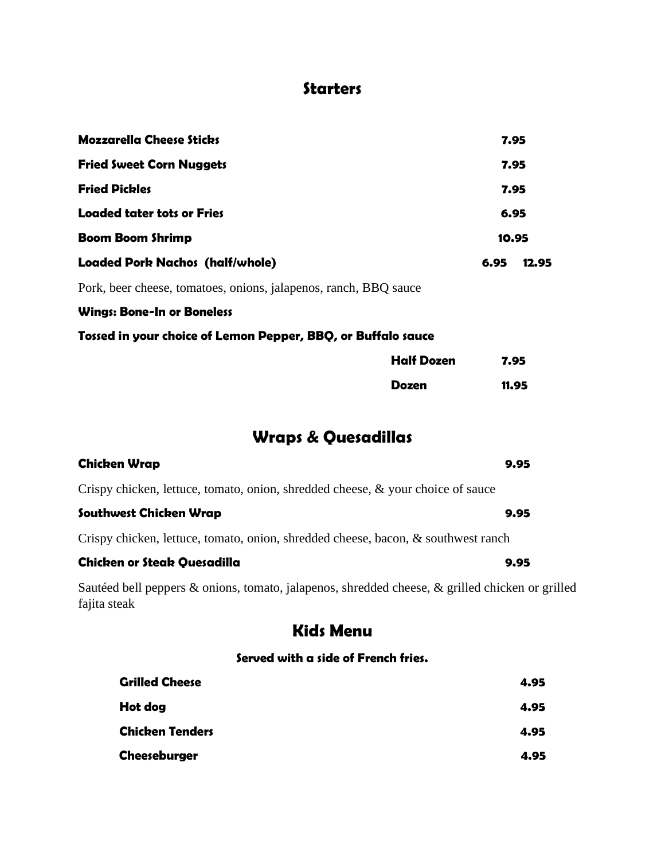## **Starters**

| <b>Mozzarella Cheese Sticks</b>                                                                                 |                   | 7.95  |       |
|-----------------------------------------------------------------------------------------------------------------|-------------------|-------|-------|
| <b>Fried Sweet Corn Nuggets</b>                                                                                 | 7.95              |       |       |
| <b>Fried Pickles</b>                                                                                            | 7.95              |       |       |
| <b>Loaded tater tots or Fries</b>                                                                               |                   | 6.95  |       |
| <b>Boom Boom Shrimp</b>                                                                                         |                   | 10.95 |       |
| <b>Loaded Pork Nachos (half/whole)</b>                                                                          |                   | 6.95  | 12.95 |
| Pork, beer cheese, tomatoes, onions, jalapenos, ranch, BBQ sauce                                                |                   |       |       |
| <b>Wings: Bone-In or Boneless</b>                                                                               |                   |       |       |
| Tossed in your choice of Lemon Pepper, BBQ, or Buffalo sauce                                                    |                   |       |       |
|                                                                                                                 | <b>Half Dozen</b> | 7.95  |       |
|                                                                                                                 | <b>Dozen</b>      | 11.95 |       |
| <b>Wraps &amp; Quesadillas</b>                                                                                  |                   |       |       |
| <b>Chicken Wrap</b>                                                                                             |                   |       | 9.95  |
| Crispy chicken, lettuce, tomato, onion, shredded cheese, $\&$ your choice of sauce                              |                   |       |       |
| Southwest Chicken Wrap                                                                                          |                   |       | 9.95  |
| Crispy chicken, lettuce, tomato, onion, shredded cheese, bacon, & southwest ranch                               |                   |       |       |
| <b>Chicken or Steak Quesadilla</b>                                                                              |                   |       | 9.95  |
| Sautéed bell peppers & onions, tomato, jalapenos, shredded cheese, & grilled chicken or grilled<br>fajita steak |                   |       |       |

# **Kids Menu**

#### **Served with a side of French fries.**

| <b>Grilled Cheese</b>  | 4.95 |
|------------------------|------|
| Hot dog                | 4.95 |
| <b>Chicken Tenders</b> | 4.95 |
| Cheeseburger           | 4.95 |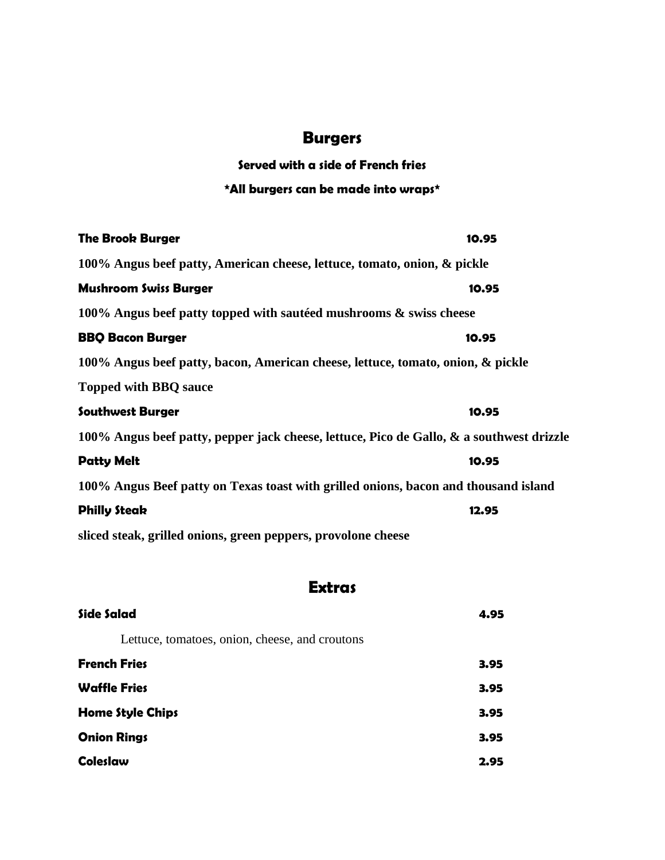# **Burgers**

## **Served with a side of French fries**

### **\*All burgers can be made into wraps\***

| <b>The Brook Burger</b>                                                                  | 10.95 |
|------------------------------------------------------------------------------------------|-------|
| 100% Angus beef patty, American cheese, lettuce, tomato, onion, & pickle                 |       |
| <b>Mushroom Swiss Burger</b>                                                             | 10.95 |
| 100% Angus beef patty topped with sauteed mushrooms $\&$ swiss cheese                    |       |
| <b>BBQ Bacon Burger</b>                                                                  | 10.95 |
| 100% Angus beef patty, bacon, American cheese, lettuce, tomato, onion, & pickle          |       |
| <b>Topped with BBQ sauce</b>                                                             |       |
| <b>Southwest Burger</b>                                                                  | 10.95 |
| 100% Angus beef patty, pepper jack cheese, lettuce, Pico de Gallo, & a southwest drizzle |       |
| <b>Patty Melt</b>                                                                        | 10.95 |
| 100% Angus Beef patty on Texas toast with grilled onions, bacon and thousand island      |       |
| <b>Philly Steak</b>                                                                      | 12.95 |
| sliced steak, grilled onions, green peppers, provolone cheese                            |       |

## **Extras**

| Side Salad                                     | 4.95 |
|------------------------------------------------|------|
| Lettuce, tomatoes, onion, cheese, and croutons |      |
| <b>French Fries</b>                            | 3.95 |
| <b>Waffle Fries</b>                            | 3.95 |
| <b>Home Style Chips</b>                        | 3.95 |
| <b>Onion Rings</b>                             | 3.95 |
| <b>Coleslaw</b>                                | 2.95 |